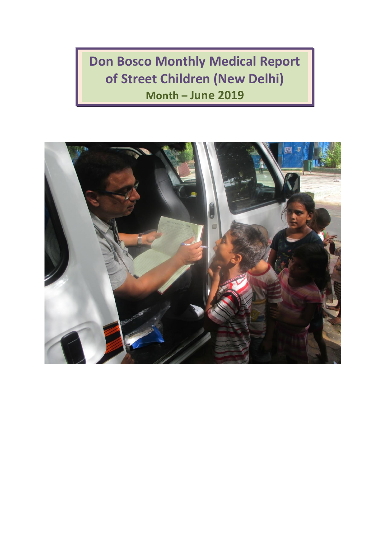**Don Bosco Monthly Medical Report of Street Children (New Delhi) Month – June 2019**

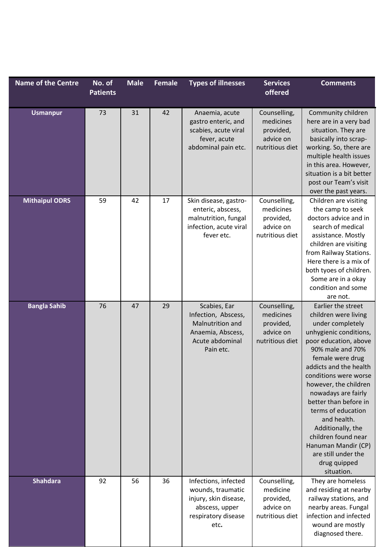| <b>Name of the Centre</b> | No. of<br><b>Patients</b> | <b>Male</b> | Female | <b>Types of illnesses</b>                                                                                           | <b>Services</b><br>offered                                             | <b>Comments</b>                                                                                                                                                                                                                                                                                                                                                                                                                                    |
|---------------------------|---------------------------|-------------|--------|---------------------------------------------------------------------------------------------------------------------|------------------------------------------------------------------------|----------------------------------------------------------------------------------------------------------------------------------------------------------------------------------------------------------------------------------------------------------------------------------------------------------------------------------------------------------------------------------------------------------------------------------------------------|
| <b>Usmanpur</b>           | 73                        | 31          | 42     | Anaemia, acute<br>gastro enteric, and<br>scabies, acute viral<br>fever, acute<br>abdominal pain etc.                | Counselling,<br>medicines<br>provided,<br>advice on<br>nutritious diet | Community children<br>here are in a very bad<br>situation. They are<br>basically into scrap-<br>working. So, there are<br>multiple health issues<br>in this area. However,<br>situation is a bit better<br>post our Team's visit<br>over the past years.                                                                                                                                                                                           |
| <b>Mithaipul ODRS</b>     | 59                        | 42          | 17     | Skin disease, gastro-<br>enteric, abscess,<br>malnutrition, fungal<br>infection, acute viral<br>fever etc.          | Counselling,<br>medicines<br>provided,<br>advice on<br>nutritious diet | Children are visiting<br>the camp to seek<br>doctors advice and in<br>search of medical<br>assistance. Mostly<br>children are visiting<br>from Railway Stations.<br>Here there is a mix of<br>both tyoes of children.<br>Some are in a okay<br>condition and some<br>are not.                                                                                                                                                                      |
| <b>Bangla Sahib</b>       | 76                        | 47          | 29     | Scabies, Ear<br>Infection, Abscess,<br>Malnutrition and<br>Anaemia, Abscess,<br>Acute abdominal<br>Pain etc.        | Counselling,<br>medicines<br>provided,<br>advice on<br>nutritious diet | Earlier the street<br>children were living<br>under completely<br>unhygienic conditions,<br>poor education, above<br>90% male and 70%<br>female were drug<br>addicts and the health<br>conditions were worse<br>however, the children<br>nowadays are fairly<br>better than before in<br>terms of education<br>and health.<br>Additionally, the<br>children found near<br>Hanuman Mandir (CP)<br>are still under the<br>drug quipped<br>situation. |
| <b>Shahdara</b>           | 92                        | 56          | 36     | Infections, infected<br>wounds, traumatic<br>injury, skin disease,<br>abscess, upper<br>respiratory disease<br>etc. | Counselling,<br>medicine<br>provided,<br>advice on<br>nutritious diet  | They are homeless<br>and residing at nearby<br>railway stations, and<br>nearby areas. Fungal<br>infection and infected<br>wound are mostly<br>diagnosed there.                                                                                                                                                                                                                                                                                     |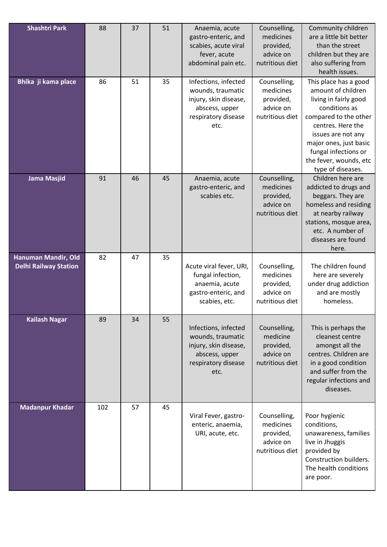| <b>Shashtri Park</b>                                | 88  | 37 | 51 | Anaemia, acute<br>gastro-enteric, and<br>scabies, acute viral<br>fever, acute<br>abdominal pain etc.                | Counselling,<br>medicines<br>provided,<br>advice on<br>nutritious diet | Community children<br>are a little bit better<br>than the street<br>children but they are<br>also suffering from<br>health issues.                                                                                                                         |
|-----------------------------------------------------|-----|----|----|---------------------------------------------------------------------------------------------------------------------|------------------------------------------------------------------------|------------------------------------------------------------------------------------------------------------------------------------------------------------------------------------------------------------------------------------------------------------|
| Bhika ji kama place                                 | 86  | 51 | 35 | Infections, infected<br>wounds, traumatic<br>injury, skin disease,<br>abscess, upper<br>respiratory disease<br>etc. | Counselling,<br>medicines<br>provided,<br>advice on<br>nutritious diet | This place has a good<br>amount of children<br>living in fairly good<br>conditions as<br>compared to the other<br>centres. Here the<br>issues are not any<br>major ones, just basic<br>fungal infections or<br>the fever, wounds, etc<br>type of diseases. |
| <b>Jama Masjid</b>                                  | 91  | 46 | 45 | Anaemia, acute<br>gastro-enteric, and<br>scabies etc.                                                               | Counselling,<br>medicines<br>provided,<br>advice on<br>nutritious diet | Children here are<br>addicted to drugs and<br>beggars. They are<br>homeless and residing<br>at nearby railway<br>stations, mosque area,<br>etc. A number of<br>diseases are found<br>here.                                                                 |
| Hanuman Mandir, Old<br><b>Delhi Railway Station</b> | 82  | 47 | 35 | Acute viral fever, URI,<br>fungal infection,<br>anaemia, acute<br>gastro-enteric, and<br>scabies, etc.              | Counselling,<br>medicines<br>provided,<br>advice on<br>nutritious diet | The children found<br>here are severely<br>under drug addiction<br>and are mostly<br>homeless.                                                                                                                                                             |
| <b>Kailash Nagar</b>                                | 89  | 34 | 55 | Infections, infected<br>wounds, traumatic<br>injury, skin disease,<br>abscess, upper<br>respiratory disease<br>etc. | Counselling,<br>medicine<br>provided,<br>advice on<br>nutritious diet  | This is perhaps the<br>cleanest centre<br>amongst all the<br>centres. Children are<br>in a good condition<br>and suffer from the<br>regular infections and<br>diseases.                                                                                    |
| <b>Madanpur Khadar</b>                              | 102 | 57 | 45 | Viral Fever, gastro-<br>enteric, anaemia,<br>URI, acute, etc.                                                       | Counselling,<br>medicines<br>provided,<br>advice on<br>nutritious diet | Poor hygienic<br>conditions,<br>unawareness, families<br>live in Jhuggis<br>provided by<br>Construction builders.<br>The health conditions<br>are poor.                                                                                                    |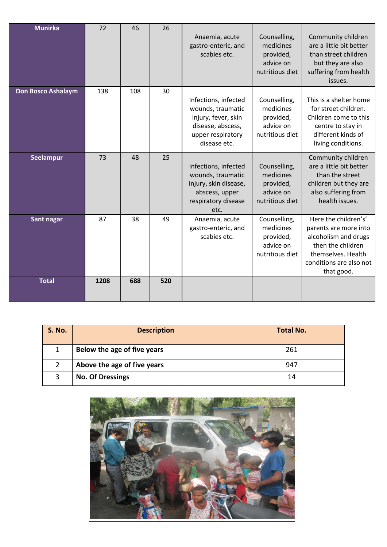| <b>Munirka</b>            | 72   | 46  | 26  | Anaemia, acute<br>gastro-enteric, and<br>scabies etc.                                                                      | Counselling,<br>medicines<br>provided,<br>advice on<br>nutritious diet | Community children<br>are a little bit better<br>than street children<br>but they are also<br>suffering from health<br>issues.                            |
|---------------------------|------|-----|-----|----------------------------------------------------------------------------------------------------------------------------|------------------------------------------------------------------------|-----------------------------------------------------------------------------------------------------------------------------------------------------------|
| <b>Don Bosco Ashalaym</b> | 138  | 108 | 30  | Infections, infected<br>wounds, traumatic<br>injury, fever, skin<br>disease, abscess,<br>upper respiratory<br>disease etc. | Counselling,<br>medicines<br>provided,<br>advice on<br>nutritious diet | This is a shelter home<br>for street children.<br>Children come to this<br>centre to stay in<br>different kinds of<br>living conditions.                  |
| Seelampur                 | 73   | 48  | 25  | Infections, infected<br>wounds, traumatic<br>injury, skin disease,<br>abscess, upper<br>respiratory disease<br>etc.        | Counselling,<br>medicines<br>provided,<br>advice on<br>nutritious diet | Community children<br>are a little bit better<br>than the street<br>children but they are<br>also suffering from<br>health issues.                        |
| Sant nagar                | 87   | 38  | 49  | Anaemia, acute<br>gastro-enteric, and<br>scabies etc.                                                                      | Counselling,<br>medicines<br>provided,<br>advice on<br>nutritious diet | Here the children's'<br>parents are more into<br>alcoholism and drugs<br>then the children<br>themselves. Health<br>conditions are also not<br>that good. |
| <b>Total</b>              | 1208 | 688 | 520 |                                                                                                                            |                                                                        |                                                                                                                                                           |

| <b>S. No.</b> | <b>Description</b>          | <b>Total No.</b> |
|---------------|-----------------------------|------------------|
|               | Below the age of five years | 261              |
|               | Above the age of five years | 947              |
| 3             | <b>No. Of Dressings</b>     | 14               |

![](_page_3_Picture_2.jpeg)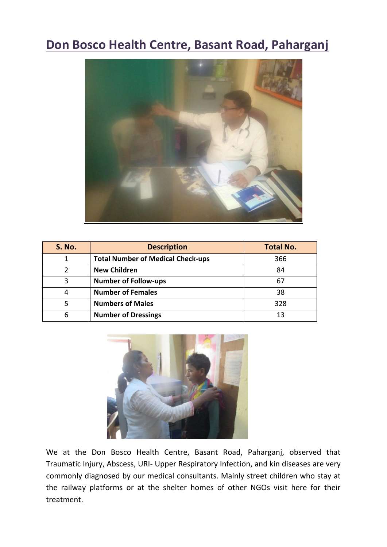## **Don Bosco Health Centre, Basant Road, Paharganj**

![](_page_4_Picture_1.jpeg)

| <b>S. No.</b> | <b>Description</b>                       | <b>Total No.</b> |
|---------------|------------------------------------------|------------------|
|               | <b>Total Number of Medical Check-ups</b> | 366              |
| 2             | <b>New Children</b>                      | 84               |
| 3             | <b>Number of Follow-ups</b>              | 67               |
| 4             | <b>Number of Females</b>                 | 38               |
| 5             | <b>Numbers of Males</b>                  | 328              |
| 6             | <b>Number of Dressings</b>               | 13               |

![](_page_4_Picture_3.jpeg)

We at the Don Bosco Health Centre, Basant Road, Paharganj, observed that Traumatic Injury, Abscess, URI- Upper Respiratory Infection, and kin diseases are very commonly diagnosed by our medical consultants. Mainly street children who stay at the railway platforms or at the shelter homes of other NGOs visit here for their treatment.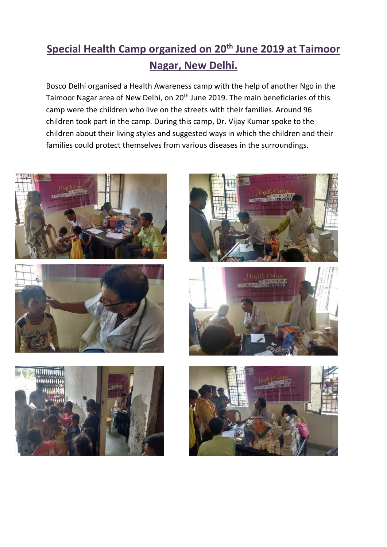## **Special Health Camp organized on 20 th June 2019 at Taimoor Nagar, New Delhi.**

Bosco Delhi organised a Health Awareness camp with the help of another Ngo in the Taimoor Nagar area of New Delhi, on 20<sup>th</sup> June 2019. The main beneficiaries of this camp were the children who live on the streets with their families. Around 96 children took part in the camp. During this camp, Dr. Vijay Kumar spoke to the children about their living styles and suggested ways in which the children and their families could protect themselves from various diseases in the surroundings.

![](_page_5_Picture_2.jpeg)

![](_page_5_Picture_3.jpeg)

![](_page_5_Picture_4.jpeg)

![](_page_5_Picture_5.jpeg)

![](_page_5_Picture_6.jpeg)

![](_page_5_Picture_7.jpeg)